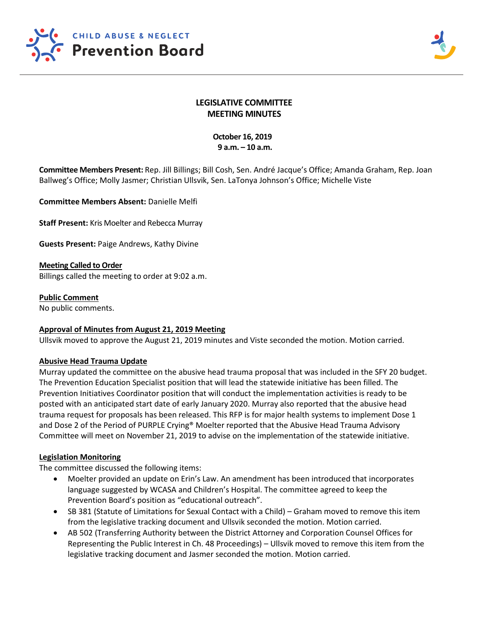



# **LEGISLATIVE COMMITTEE MEETING MINUTES**

 **October 16, 2019 9 a.m. – 10 a.m.**

**Committee Members Present:** Rep. Jill Billings; Bill Cosh, Sen. André Jacque's Office; Amanda Graham, Rep. Joan Ballweg's Office; Molly Jasmer; Christian Ullsvik, Sen. LaTonya Johnson's Office; Michelle Viste

**Committee Members Absent:** Danielle Melfi

**Staff Present:** Kris Moelter and Rebecca Murray

**Guests Present:** Paige Andrews, Kathy Divine

## **Meeting Called to Order**

Billings called the meeting to order at 9:02 a.m.

## **Public Comment**

No public comments.

#### **Approval of Minutes from August 21, 2019 Meeting**

Ullsvik moved to approve the August 21, 2019 minutes and Viste seconded the motion. Motion carried.

#### **Abusive Head Trauma Update**

Murray updated the committee on the abusive head trauma proposal that was included in the SFY 20 budget. The Prevention Education Specialist position that will lead the statewide initiative has been filled. The Prevention Initiatives Coordinator position that will conduct the implementation activities is ready to be posted with an anticipated start date of early January 2020. Murray also reported that the abusive head trauma request for proposals has been released. This RFP is for major health systems to implement Dose 1 and Dose 2 of the Period of PURPLE Crying® Moelter reported that the Abusive Head Trauma Advisory Committee will meet on November 21, 2019 to advise on the implementation of the statewide initiative.

# **Legislation Monitoring**

The committee discussed the following items:

- Moelter provided an update on Erin's Law. An amendment has been introduced that incorporates language suggested by WCASA and Children's Hospital. The committee agreed to keep the Prevention Board's position as "educational outreach".
- SB 381 (Statute of Limitations for Sexual Contact with a Child) Graham moved to remove this item from the legislative tracking document and Ullsvik seconded the motion. Motion carried.
- AB 502 (Transferring Authority between the District Attorney and Corporation Counsel Offices for Representing the Public Interest in Ch. 48 Proceedings) – Ullsvik moved to remove this item from the legislative tracking document and Jasmer seconded the motion. Motion carried.